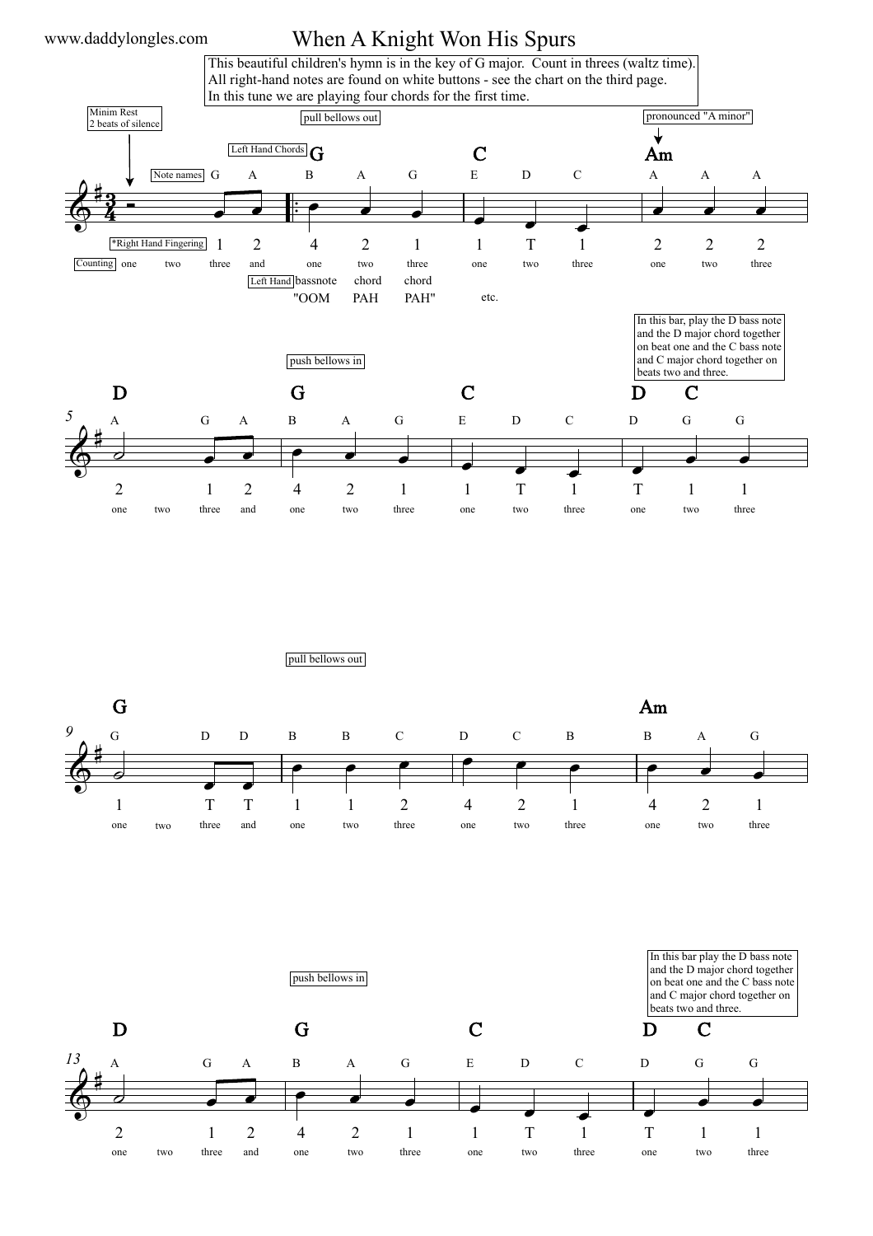## When A Knight Won His Spurs



pull bellows out